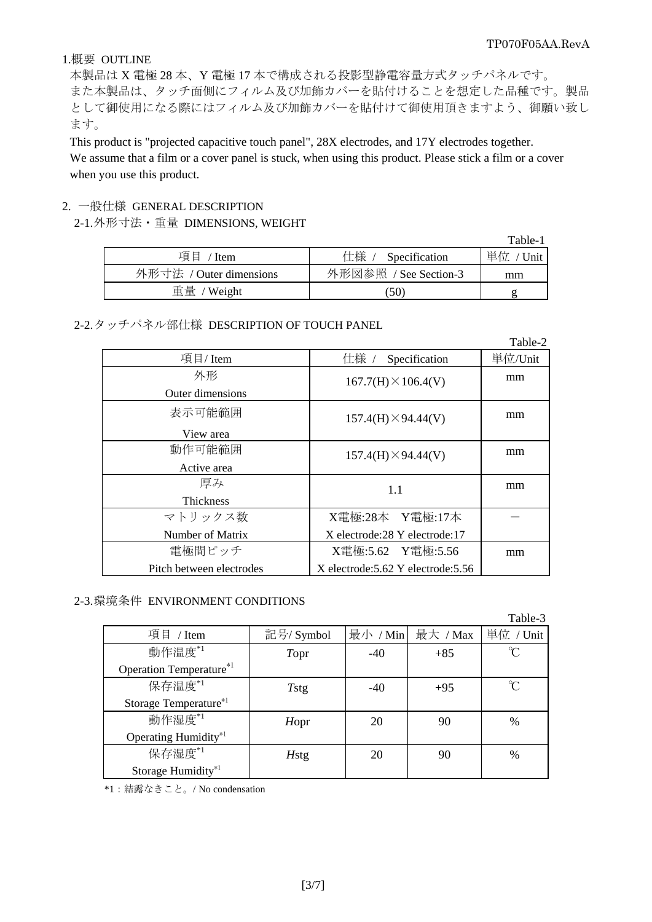### 1.概要 OUTLINE

本製品は X 電極 28 本、Y 電極 17 本で構成される投影型静電容量方式タッチパネルです。 また本製品は、タッチ面側にフィルム及び加飾カバーを貼付けることを想定した品種です。製品 として御使用になる際にはフィルム及び加飾カバーを貼付けて御使用頂きますよう、御願い致し ます。

This product is "projected capacitive touch panel", 28X electrodes, and 17Y electrodes together. We assume that a film or a cover panel is stuck, when using this product. Please stick a film or a cover when you use this product.

#### 2. 一般仕様 GENERAL DESCRIPTION

2-1. 外形寸法・重量 DIMENSIONS, WEIGHT

|                         |                       | Table-1   |
|-------------------------|-----------------------|-----------|
| 項目 / Item               | 仕様 / Specification    | 単位 / Unit |
| 外形寸法 / Outer dimensions | 外形図参照 / See Section-3 | mm        |
| 重量 / Weight             | .50)                  |           |

#### 2-2. タッチパネル部仕様 DESCRIPTION OF TOUCH PANEL

|                          |                                     | Table-2 |
|--------------------------|-------------------------------------|---------|
| 項目/Item                  | 仕様 /<br>Specification               | 単位/Unit |
| 外形                       | $167.7(H) \times 106.4(V)$          | mm      |
| Outer dimensions         |                                     |         |
| 表示可能範囲                   | $157.4(H) \times 94.44(V)$          | mm      |
| View area                |                                     |         |
| 動作可能範囲                   | $157.4(H) \times 94.44(V)$          | mm      |
| Active area              |                                     |         |
| 厚み                       | 1.1                                 | mm      |
| <b>Thickness</b>         |                                     |         |
| マトリックス数                  | X電極:28本 Y電極:17本                     |         |
| Number of Matrix         | X electrode: 28 Y electrode: 17     |         |
| 電極間ピッチ                   | X電極:5.62 Y電極:5.56                   | mm      |
| Pitch between electrodes | X electrode: 5.62 Y electrode: 5.56 |         |

### 2-3. 環境条件 ENVIRONMENT CONDITIONS

|                                     |             |          |          | Table-3   |
|-------------------------------------|-------------|----------|----------|-----------|
| 項目 / Item                           | 記号/ Symbol  | 最小 / Min | 最大 / Max | 単位 / Unit |
| 動作温度*1                              | Topr        | $-40$    | $+85$    | $\gamma$  |
| Operation Temperature <sup>*1</sup> |             |          |          |           |
| 保存温度*1                              | Tstg        | $-40$    | $+95$    |           |
| Storage Temperature*1               |             |          |          |           |
| 動作湿度*1                              | Hopr        | 20       | 90       | $\%$      |
| Operating Humidity*1                |             |          |          |           |
| 保存湿度*1                              | <b>Hstg</b> | 20       | 90       | $\%$      |
| Storage Humidity*1                  |             |          |          |           |

\*1:結露なきこと。/ No condensation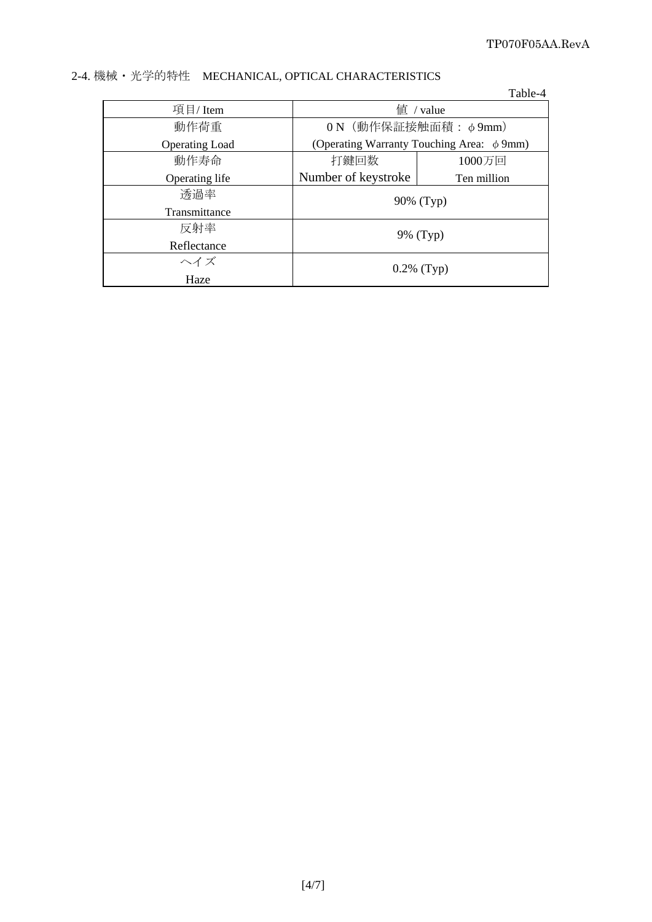|                       |                                                | Table-4     |  |
|-----------------------|------------------------------------------------|-------------|--|
| 項目/Item               | $f$ <sup><math>\dot{f}</math></sup> / value    |             |  |
| 動作荷重                  | ON (動作保証接触面積: φ9mm)                            |             |  |
| <b>Operating Load</b> | (Operating Warranty Touching Area: $\phi$ 9mm) |             |  |
| 動作寿命                  | 打鍵回数                                           | 1000万回      |  |
| Operating life        | Number of keystroke                            | Ten million |  |
| 透過率                   | 90% (Typ)                                      |             |  |
| Transmittance         |                                                |             |  |
| 反射率                   | 9% (Typ)                                       |             |  |
| Reflectance           |                                                |             |  |
| ヘイズ                   | $0.2\%$ (Typ)                                  |             |  |
| Haze                  |                                                |             |  |

# 2-4. 機械・光学的特性 MECHANICAL, OPTICAL CHARACTERISTICS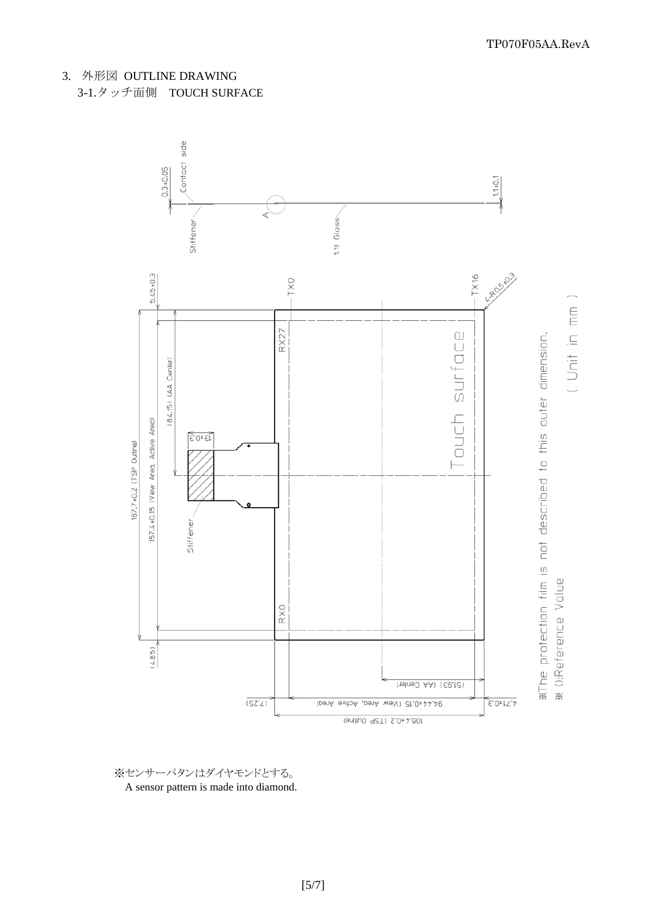

※センサーパタンはダイヤモンドとする。 A sensor pattern is made into diamond. TP070F05AA.RevA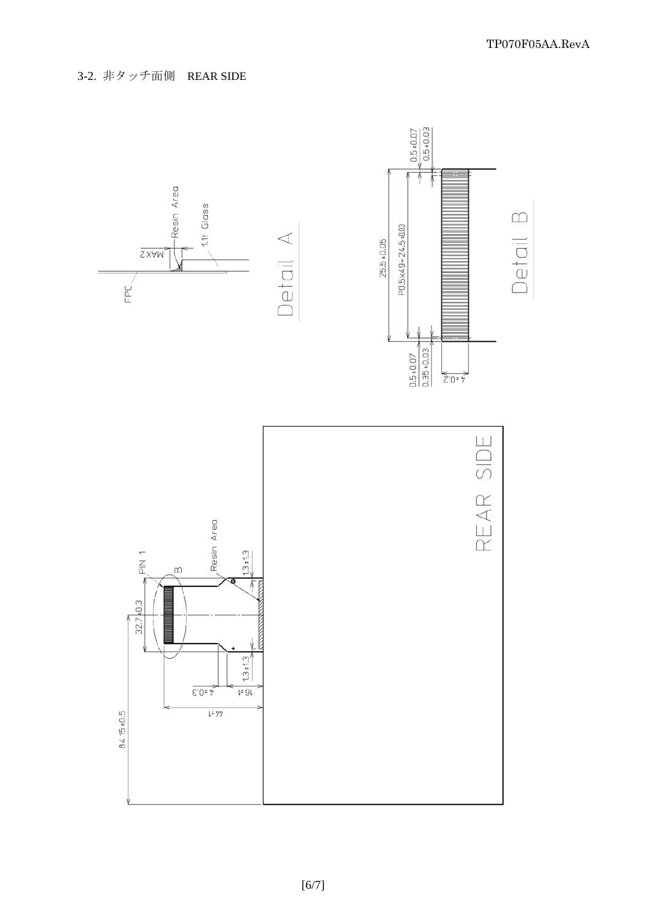3-2. 非タッチ面側 REAR SIDE